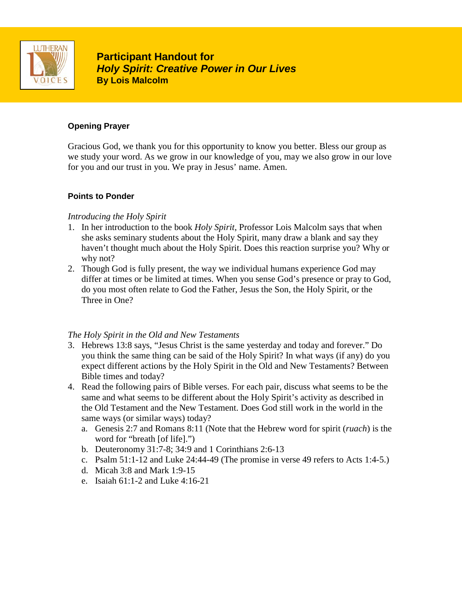

**Participant Handout for Participant Handout for** *Holy Spirit: Creative Power in Our Lives* **By Lois Malcolm**

### **Opening Prayer**

Gracious God, we thank you for this opportunity to know you better. Bless our group as we study your word. As we grow in our knowledge of you, may we also grow in our love for you and our trust in you. We pray in Jesus' name. Amen.

### **Points to Ponder**

### *Introducing the Holy Spirit*

- 1. In her introduction to the book *Holy Spirit*, Professor Lois Malcolm says that when she asks seminary students about the Holy Spirit, many draw a blank and say they haven't thought much about the Holy Spirit. Does this reaction surprise you? Why or why not?
- 2. Though God is fully present, the way we individual humans experience God may differ at times or be limited at times. When you sense God's presence or pray to God, do you most often relate to God the Father, Jesus the Son, the Holy Spirit, or the Three in One?

## *The Holy Spirit in the Old and New Testaments*

- 3. Hebrews 13:8 says, "Jesus Christ is the same yesterday and today and forever." Do you think the same thing can be said of the Holy Spirit? In what ways (if any) do you expect different actions by the Holy Spirit in the Old and New Testaments? Between Bible times and today?
- 4. Read the following pairs of Bible verses. For each pair, discuss what seems to be the same and what seems to be different about the Holy Spirit's activity as described in the Old Testament and the New Testament. Does God still work in the world in the same ways (or similar ways) today?
	- a. Genesis 2:7 and Romans 8:11 (Note that the Hebrew word for spirit (*ruach*) is the word for "breath [of life].")
	- b. Deuteronomy 31:7-8; 34:9 and 1 Corinthians 2:6-13
	- c. Psalm 51:1-12 and Luke 24:44-49 (The promise in verse 49 refers to Acts 1:4-5.)
	- d. Micah 3:8 and Mark 1:9-15
	- e. Isaiah 61:1-2 and Luke 4:16-21